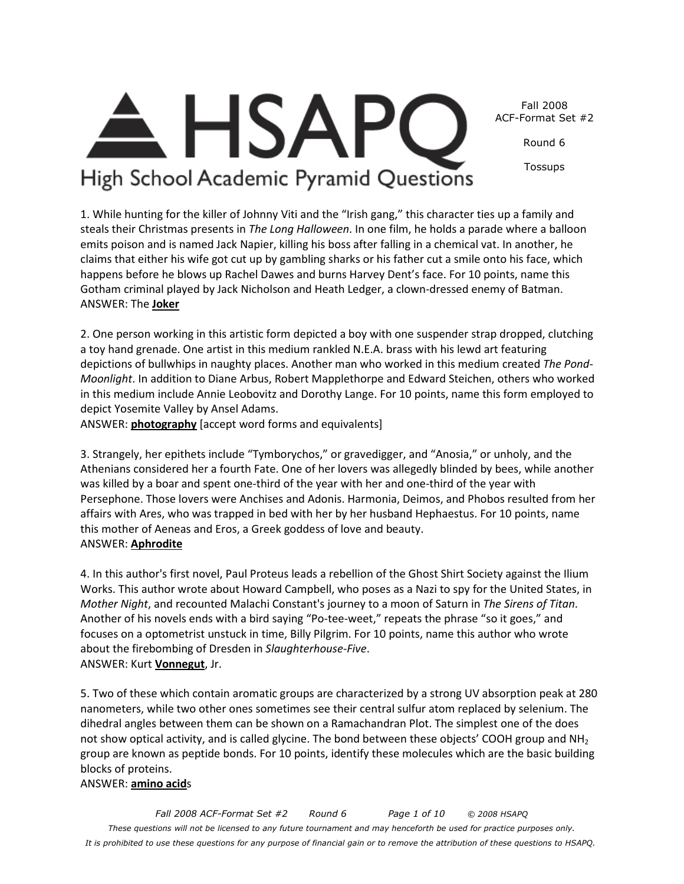*Fall 2008 ACF-Format Set #2 Round 6 Page 1 of 10 © 2008 HSAPQ These questions will not be licensed to any future tournament and may henceforth be used for practice purposes only. It is prohibited to use these questions for any purpose of financial gain or to remove the attribution of these questions to HSAPQ.*



Round 6

Tossups

# High School Academic Pyramid Questions

**HSAP** 

1. While hunting for the killer of Johnny Viti and the "Irish gang," this character ties up a family and steals their Christmas presents in *The Long Halloween*. In one film, he holds a parade where a balloon emits poison and is named Jack Napier, killing his boss after falling in a chemical vat. In another, he claims that either his wife got cut up by gambling sharks or his father cut a smile onto his face, which happens before he blows up Rachel Dawes and burns Harvey Dent's face. For 10 points, name this Gotham criminal played by Jack Nicholson and Heath Ledger, a clown-dressed enemy of Batman. ANSWER: The **Joker**

2. One person working in this artistic form depicted a boy with one suspender strap dropped, clutching a toy hand grenade. One artist in this medium rankled N.E.A. brass with his lewd art featuring depictions of bullwhips in naughty places. Another man who worked in this medium created *The Pond-Moonlight*. In addition to Diane Arbus, Robert Mapplethorpe and Edward Steichen, others who worked in this medium include Annie Leobovitz and Dorothy Lange. For 10 points, name this form employed to depict Yosemite Valley by Ansel Adams.

ANSWER: **photography** [accept word forms and equivalents]

3. Strangely, her epithets include "Tymborychos," or gravedigger, and "Anosia," or unholy, and the Athenians considered her a fourth Fate. One of her lovers was allegedly blinded by bees, while another was killed by a boar and spent one-third of the year with her and one-third of the year with Persephone. Those lovers were Anchises and Adonis. Harmonia, Deimos, and Phobos resulted from her affairs with Ares, who was trapped in bed with her by her husband Hephaestus. For 10 points, name this mother of Aeneas and Eros, a Greek goddess of love and beauty. ANSWER: **Aphrodite**

4. In this author's first novel, Paul Proteus leads a rebellion of the Ghost Shirt Society against the Ilium Works. This author wrote about Howard Campbell, who poses as a Nazi to spy for the United States, in *Mother Night*, and recounted Malachi Constant's journey to a moon of Saturn in *The Sirens of Titan*. Another of his novels ends with a bird saying "Po-tee-weet," repeats the phrase "so it goes," and focuses on a optometrist unstuck in time, Billy Pilgrim. For 10 points, name this author who wrote about the firebombing of Dresden in *Slaughterhouse-Five*. ANSWER: Kurt **Vonnegut**, Jr.

5. Two of these which contain aromatic groups are characterized by a strong UV absorption peak at 280 nanometers, while two other ones sometimes see their central sulfur atom replaced by selenium. The dihedral angles between them can be shown on a Ramachandran Plot. The simplest one of the does not show optical activity, and is called glycine. The bond between these objects' COOH group and NH<sub>2</sub> group are known as peptide bonds. For 10 points, identify these molecules which are the basic building blocks of proteins.

#### ANSWER: **amino acid**s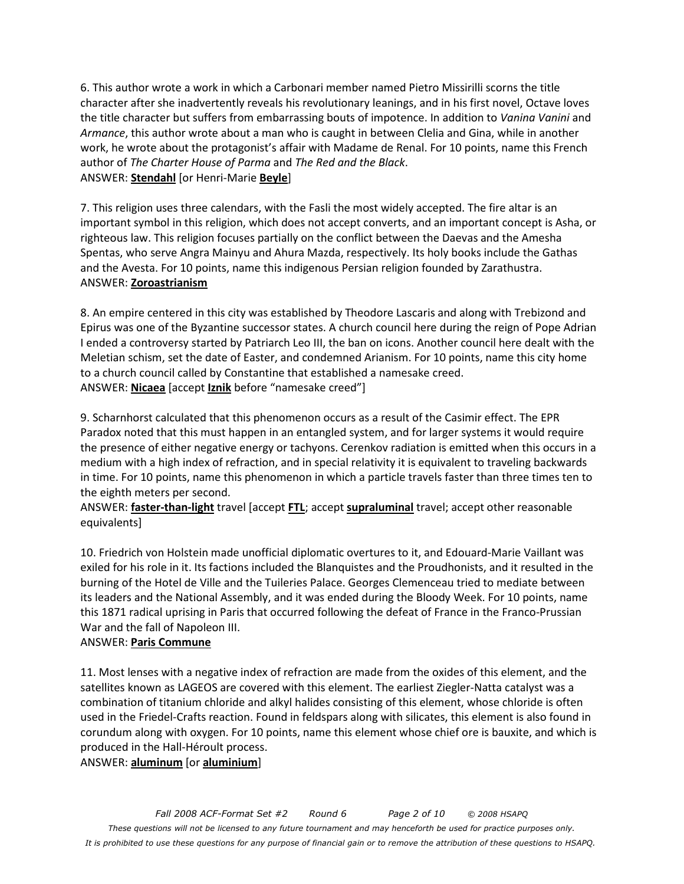6. This author wrote a work in which a Carbonari member named Pietro Missirilli scorns the title character after she inadvertently reveals his revolutionary leanings, and in his first novel, Octave loves the title character but suffers from embarrassing bouts of impotence. In addition to *Vanina Vanini* and *Armance*, this author wrote about a man who is caught in between Clelia and Gina, while in another work, he wrote about the protagonist's affair with Madame de Renal. For 10 points, name this French author of *The Charter House of Parma* and *The Red and the Black*. ANSWER: **Stendahl** [or Henri-Marie **Beyle**]

7. This religion uses three calendars, with the Fasli the most widely accepted. The fire altar is an important symbol in this religion, which does not accept converts, and an important concept is Asha, or righteous law. This religion focuses partially on the conflict between the Daevas and the Amesha Spentas, who serve Angra Mainyu and Ahura Mazda, respectively. Its holy books include the Gathas and the Avesta. For 10 points, name this indigenous Persian religion founded by Zarathustra. ANSWER: **Zoroastrianism**

8. An empire centered in this city was established by Theodore Lascaris and along with Trebizond and Epirus was one of the Byzantine successor states. A church council here during the reign of Pope Adrian I ended a controversy started by Patriarch Leo III, the ban on icons. Another council here dealt with the Meletian schism, set the date of Easter, and condemned Arianism. For 10 points, name this city home to a church council called by Constantine that established a namesake creed. ANSWER: **Nicaea** [accept **Iznik** before "namesake creed"]

9. Scharnhorst calculated that this phenomenon occurs as a result of the Casimir effect. The EPR Paradox noted that this must happen in an entangled system, and for larger systems it would require the presence of either negative energy or tachyons. Cerenkov radiation is emitted when this occurs in a medium with a high index of refraction, and in special relativity it is equivalent to traveling backwards in time. For 10 points, name this phenomenon in which a particle travels faster than three times ten to the eighth meters per second.

ANSWER: **faster-than-light** travel [accept **FTL**; accept **supraluminal** travel; accept other reasonable equivalents]

10. Friedrich von Holstein made unofficial diplomatic overtures to it, and Edouard-Marie Vaillant was exiled for his role in it. Its factions included the Blanquistes and the Proudhonists, and it resulted in the burning of the Hotel de Ville and the Tuileries Palace. Georges Clemenceau tried to mediate between its leaders and the National Assembly, and it was ended during the Bloody Week. For 10 points, name this 1871 radical uprising in Paris that occurred following the defeat of France in the Franco-Prussian War and the fall of Napoleon III.

#### ANSWER: **Paris Commune**

11. Most lenses with a negative index of refraction are made from the oxides of this element, and the satellites known as LAGEOS are covered with this element. The earliest Ziegler-Natta catalyst was a combination of titanium chloride and alkyl halides consisting of this element, whose chloride is often used in the Friedel-Crafts reaction. Found in feldspars along with silicates, this element is also found in corundum along with oxygen. For 10 points, name this element whose chief ore is bauxite, and which is produced in the Hall-Héroult process.

ANSWER: **aluminum** [or **aluminium**]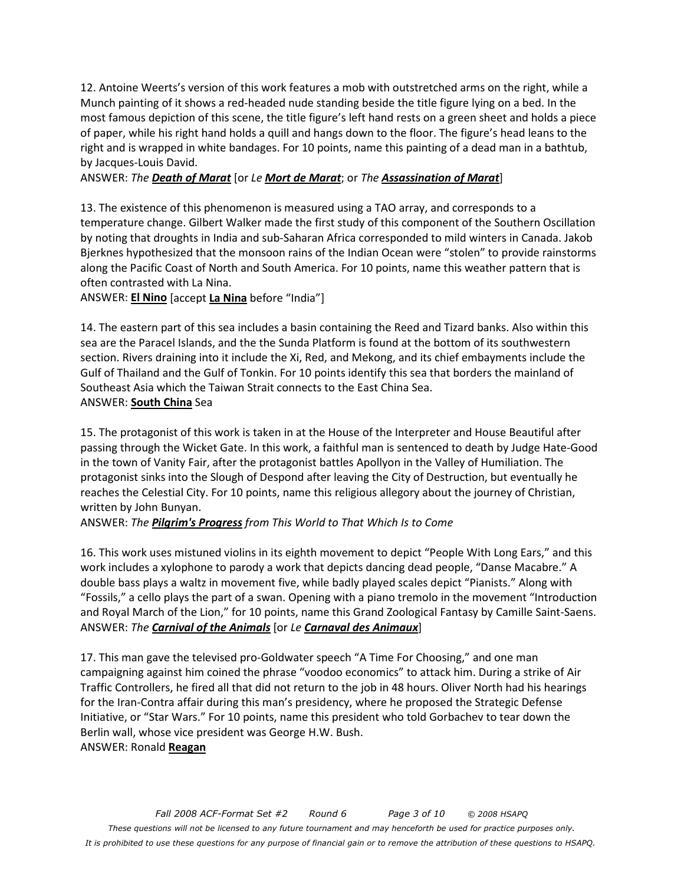12. Antoine Weerts's version of this work features a mob with outstretched arms on the right, while a Munch painting of it shows a red-headed nude standing beside the title figure lying on a bed. In the most famous depiction of this scene, the title figure's left hand rests on a green sheet and holds a piece of paper, while his right hand holds a quill and hangs down to the floor. The figure's head leans to the right and is wrapped in white bandages. For 10 points, name this painting of a dead man in a bathtub, by Jacques-Louis David.

ANSWER: *The Death of Marat* [or *Le Mort de Marat*; or *The Assassination of Marat*]

13. The existence of this phenomenon is measured using a TAO array, and corresponds to a temperature change. Gilbert Walker made the first study of this component of the Southern Oscillation by noting that droughts in India and sub-Saharan Africa corresponded to mild winters in Canada. Jakob Bjerknes hypothesized that the monsoon rains of the Indian Ocean were "stolen" to provide rainstorms along the Pacific Coast of North and South America. For 10 points, name this weather pattern that is often contrasted with La Nina.

ANSWER: **El Nino** [accept **La Nina** before "India"]

14. The eastern part of this sea includes a basin containing the Reed and Tizard banks. Also within this sea are the Paracel Islands, and the the Sunda Platform is found at the bottom of its southwestern section. Rivers draining into it include the Xi, Red, and Mekong, and its chief embayments include the Gulf of Thailand and the Gulf of Tonkin. For 10 points identify this sea that borders the mainland of Southeast Asia which the Taiwan Strait connects to the East China Sea. ANSWER: **South China** Sea

15. The protagonist of this work is taken in at the House of the Interpreter and House Beautiful after passing through the Wicket Gate. In this work, a faithful man is sentenced to death by Judge Hate-Good in the town of Vanity Fair, after the protagonist battles Apollyon in the Valley of Humiliation. The protagonist sinks into the Slough of Despond after leaving the City of Destruction, but eventually he reaches the Celestial City. For 10 points, name this religious allegory about the journey of Christian, written by John Bunyan.

ANSWER: *The Pilgrim's Progress from This World to That Which Is to Come* 

16. This work uses mistuned violins in its eighth movement to depict "People With Long Ears," and this work includes a xylophone to parody a work that depicts dancing dead people, "Danse Macabre." A double bass plays a waltz in movement five, while badly played scales depict "Pianists." Along with "Fossils," a cello plays the part of a swan. Opening with a piano tremolo in the movement "Introduction and Royal March of the Lion," for 10 points, name this Grand Zoological Fantasy by Camille Saint-Saens. ANSWER: *The Carnival of the Animals* [or *Le Carnaval des Animaux*]

17. This man gave the televised pro-Goldwater speech "A Time For Choosing," and one man campaigning against him coined the phrase "voodoo economics" to attack him. During a strike of Air Traffic Controllers, he fired all that did not return to the job in 48 hours. Oliver North had his hearings for the Iran-Contra affair during this man's presidency, where he proposed the Strategic Defense Initiative, or "Star Wars." For 10 points, name this president who told Gorbachev to tear down the Berlin wall, whose vice president was George H.W. Bush. ANSWER: Ronald **Reagan**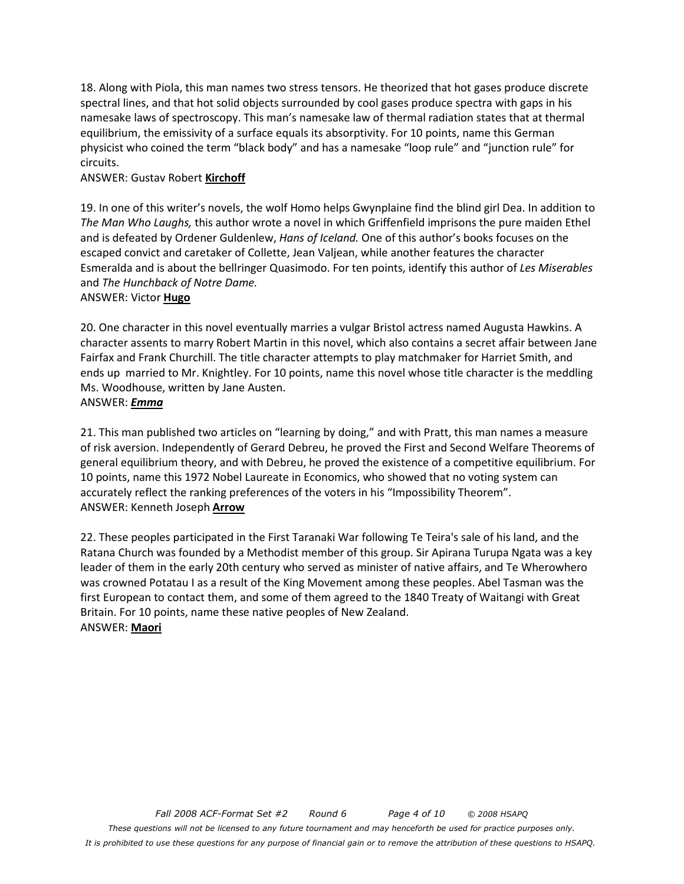18. Along with Piola, this man names two stress tensors. He theorized that hot gases produce discrete spectral lines, and that hot solid objects surrounded by cool gases produce spectra with gaps in his namesake laws of spectroscopy. This man's namesake law of thermal radiation states that at thermal equilibrium, the emissivity of a surface equals its absorptivity. For 10 points, name this German physicist who coined the term "black body" and has a namesake "loop rule" and "junction rule" for circuits.

#### ANSWER: Gustav Robert **Kirchoff**

19. In one of this writer's novels, the wolf Homo helps Gwynplaine find the blind girl Dea. In addition to *The Man Who Laughs,* this author wrote a novel in which Griffenfield imprisons the pure maiden Ethel and is defeated by Ordener Guldenlew, *Hans of Iceland.* One of this author's books focuses on the escaped convict and caretaker of Collette, Jean Valjean, while another features the character Esmeralda and is about the bellringer Quasimodo. For ten points, identify this author of *Les Miserables*  and *The Hunchback of Notre Dame.* 

#### ANSWER: Victor **Hugo**

20. One character in this novel eventually marries a vulgar Bristol actress named Augusta Hawkins. A character assents to marry Robert Martin in this novel, which also contains a secret affair between Jane Fairfax and Frank Churchill. The title character attempts to play matchmaker for Harriet Smith, and ends up married to Mr. Knightley. For 10 points, name this novel whose title character is the meddling Ms. Woodhouse, written by Jane Austen.

# ANSWER: *Emma*

21. This man published two articles on "learning by doing," and with Pratt, this man names a measure of risk aversion. Independently of Gerard Debreu, he proved the First and Second Welfare Theorems of general equilibrium theory, and with Debreu, he proved the existence of a competitive equilibrium. For 10 points, name this 1972 Nobel Laureate in Economics, who showed that no voting system can accurately reflect the ranking preferences of the voters in his "Impossibility Theorem". ANSWER: Kenneth Joseph **Arrow**

22. These peoples participated in the First Taranaki War following Te Teira's sale of his land, and the Ratana Church was founded by a Methodist member of this group. Sir Apirana Turupa Ngata was a key leader of them in the early 20th century who served as minister of native affairs, and Te Wherowhero was crowned Potatau I as a result of the King Movement among these peoples. Abel Tasman was the first European to contact them, and some of them agreed to the 1840 Treaty of Waitangi with Great Britain. For 10 points, name these native peoples of New Zealand. ANSWER: **Maori**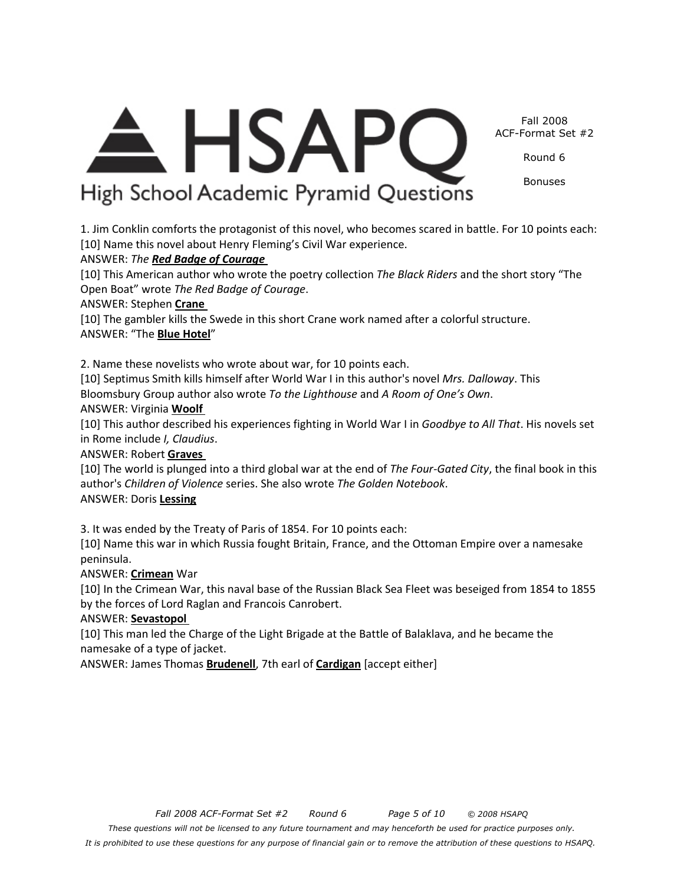*It is prohibited to use these questions for any purpose of financial gain or to remove the attribution of these questions to HSAPQ.*

Fall 2008 ACF-Format Set #2

Round 6

Bonuses

<del>A</del> HSAPC High School Academic Pyramid Questions

[10] Name this novel about Henry Fleming's Civil War experience.

2. Name these novelists who wrote about war, for 10 points each.

[10] Septimus Smith kills himself after World War I in this author's novel *Mrs. Dalloway*. This

Open Boat" wrote *The Red Badge of Courage*.

Bloomsbury Group author also wrote *To the Lighthouse* and *A Room of One's Own*.

ANSWER: *The Red Badge of Courage* 

ANSWER: Virginia **Woolf** 

[10] This author described his experiences fighting in World War I in *Goodbye to All That*. His novels set in Rome include *I, Claudius*.

1. Jim Conklin comforts the protagonist of this novel, who becomes scared in battle. For 10 points each:

[10] This American author who wrote the poetry collection *The Black Riders* and the short story "The

[10] The gambler kills the Swede in this short Crane work named after a colorful structure.

ANSWER: Robert **Graves** 

ANSWER: Stephen **Crane** 

ANSWER: "The **Blue Hotel**"

[10] The world is plunged into a third global war at the end of *The Four-Gated City*, the final book in this author's *Children of Violence* series. She also wrote *The Golden Notebook*. ANSWER: Doris **Lessing**

3. It was ended by the Treaty of Paris of 1854. For 10 points each:

[10] Name this war in which Russia fought Britain, France, and the Ottoman Empire over a namesake peninsula.

ANSWER: **Crimean** War

[10] In the Crimean War, this naval base of the Russian Black Sea Fleet was beseiged from 1854 to 1855 by the forces of Lord Raglan and Francois Canrobert.

ANSWER: **Sevastopol** 

[10] This man led the Charge of the Light Brigade at the Battle of Balaklava, and he became the namesake of a type of jacket.

ANSWER: James Thomas **Brudenell**, 7th earl of **Cardigan** [accept either]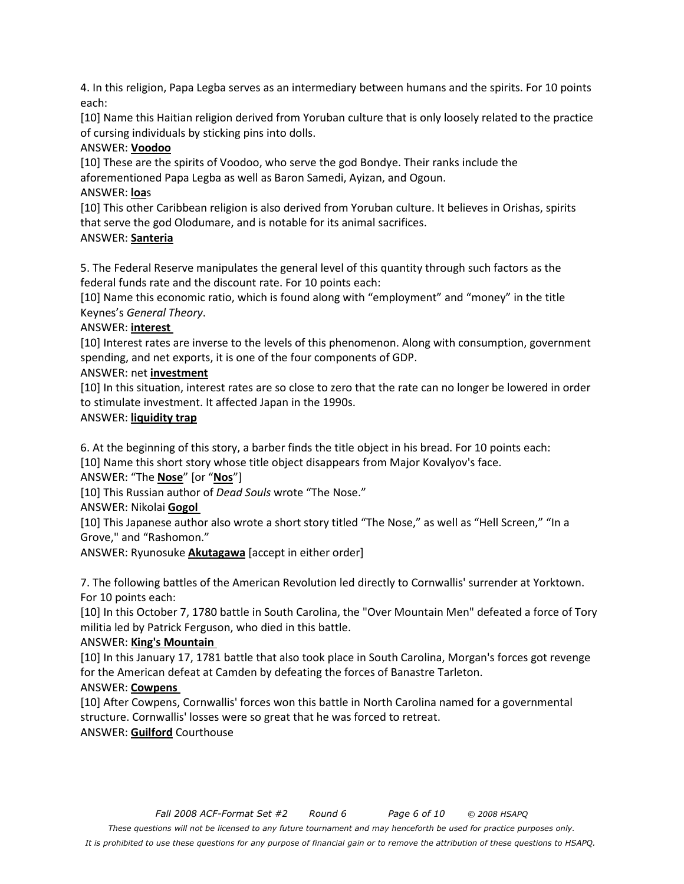4. In this religion, Papa Legba serves as an intermediary between humans and the spirits. For 10 points each:

[10] Name this Haitian religion derived from Yoruban culture that is only loosely related to the practice of cursing individuals by sticking pins into dolls.

#### ANSWER: **Voodoo**

[10] These are the spirits of Voodoo, who serve the god Bondye. Their ranks include the aforementioned Papa Legba as well as Baron Samedi, Ayizan, and Ogoun.

#### ANSWER: **loa**s

[10] This other Caribbean religion is also derived from Yoruban culture. It believes in Orishas, spirits that serve the god Olodumare, and is notable for its animal sacrifices.

# ANSWER: **Santeria**

5. The Federal Reserve manipulates the general level of this quantity through such factors as the federal funds rate and the discount rate. For 10 points each:

[10] Name this economic ratio, which is found along with "employment" and "money" in the title Keynes's *General Theory*.

# ANSWER: **interest**

[10] Interest rates are inverse to the levels of this phenomenon. Along with consumption, government spending, and net exports, it is one of the four components of GDP.

# ANSWER: net **investment**

[10] In this situation, interest rates are so close to zero that the rate can no longer be lowered in order to stimulate investment. It affected Japan in the 1990s.

# ANSWER: **liquidity trap**

6. At the beginning of this story, a barber finds the title object in his bread. For 10 points each: [10] Name this short story whose title object disappears from Major Kovalyov's face.

ANSWER: "The **Nose**" [or "**Nos**"]

[10] This Russian author of *Dead Souls* wrote "The Nose."

ANSWER: Nikolai **Gogol** 

[10] This Japanese author also wrote a short story titled "The Nose," as well as "Hell Screen," "In a Grove," and "Rashomon."

ANSWER: Ryunosuke **Akutagawa** [accept in either order]

7. The following battles of the American Revolution led directly to Cornwallis' surrender at Yorktown. For 10 points each:

[10] In this October 7, 1780 battle in South Carolina, the "Over Mountain Men" defeated a force of Tory militia led by Patrick Ferguson, who died in this battle.

#### ANSWER: **King's Mountain**

[10] In this January 17, 1781 battle that also took place in South Carolina, Morgan's forces got revenge for the American defeat at Camden by defeating the forces of Banastre Tarleton.

# ANSWER: **Cowpens**

[10] After Cowpens, Cornwallis' forces won this battle in North Carolina named for a governmental structure. Cornwallis' losses were so great that he was forced to retreat. ANSWER: **Guilford** Courthouse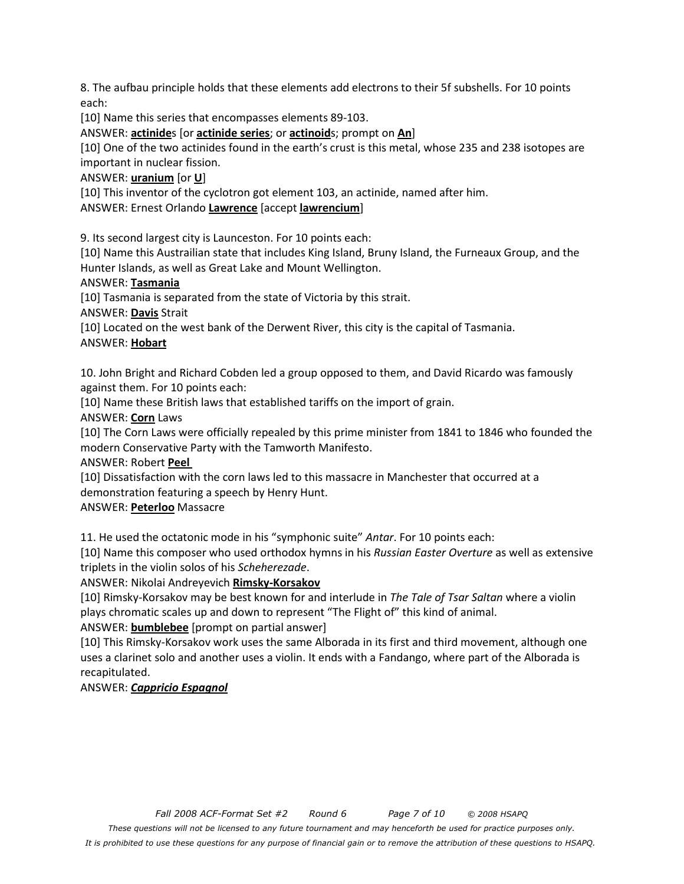8. The aufbau principle holds that these elements add electrons to their 5f subshells. For 10 points each:

[10] Name this series that encompasses elements 89-103.

ANSWER: **actinide**s [or **actinide series**; or **actinoid**s; prompt on **An**]

[10] One of the two actinides found in the earth's crust is this metal, whose 235 and 238 isotopes are important in nuclear fission.

ANSWER: **uranium** [or **U**]

[10] This inventor of the cyclotron got element 103, an actinide, named after him.

ANSWER: Ernest Orlando **Lawrence** [accept **lawrencium**]

9. Its second largest city is Launceston. For 10 points each:

[10] Name this Austrailian state that includes King Island, Bruny Island, the Furneaux Group, and the Hunter Islands, as well as Great Lake and Mount Wellington.

# ANSWER: **Tasmania**

[10] Tasmania is separated from the state of Victoria by this strait.

ANSWER: **Davis** Strait

[10] Located on the west bank of the Derwent River, this city is the capital of Tasmania.

# ANSWER: **Hobart**

10. John Bright and Richard Cobden led a group opposed to them, and David Ricardo was famously against them. For 10 points each:

[10] Name these British laws that established tariffs on the import of grain.

ANSWER: **Corn** Laws

[10] The Corn Laws were officially repealed by this prime minister from 1841 to 1846 who founded the modern Conservative Party with the Tamworth Manifesto.

ANSWER: Robert **Peel** 

[10] Dissatisfaction with the corn laws led to this massacre in Manchester that occurred at a demonstration featuring a speech by Henry Hunt.

ANSWER: **Peterloo** Massacre

11. He used the octatonic mode in his "symphonic suite" *Antar*. For 10 points each:

[10] Name this composer who used orthodox hymns in his *Russian Easter Overture* as well as extensive triplets in the violin solos of his *Scheherezade*.

ANSWER: Nikolai Andreyevich **Rimsky-Korsakov**

[10] Rimsky-Korsakov may be best known for and interlude in *The Tale of Tsar Saltan* where a violin plays chromatic scales up and down to represent "The Flight of" this kind of animal.

ANSWER: **bumblebee** [prompt on partial answer]

[10] This Rimsky-Korsakov work uses the same Alborada in its first and third movement, although one uses a clarinet solo and another uses a violin. It ends with a Fandango, where part of the Alborada is recapitulated.

# ANSWER: *Cappricio Espagnol*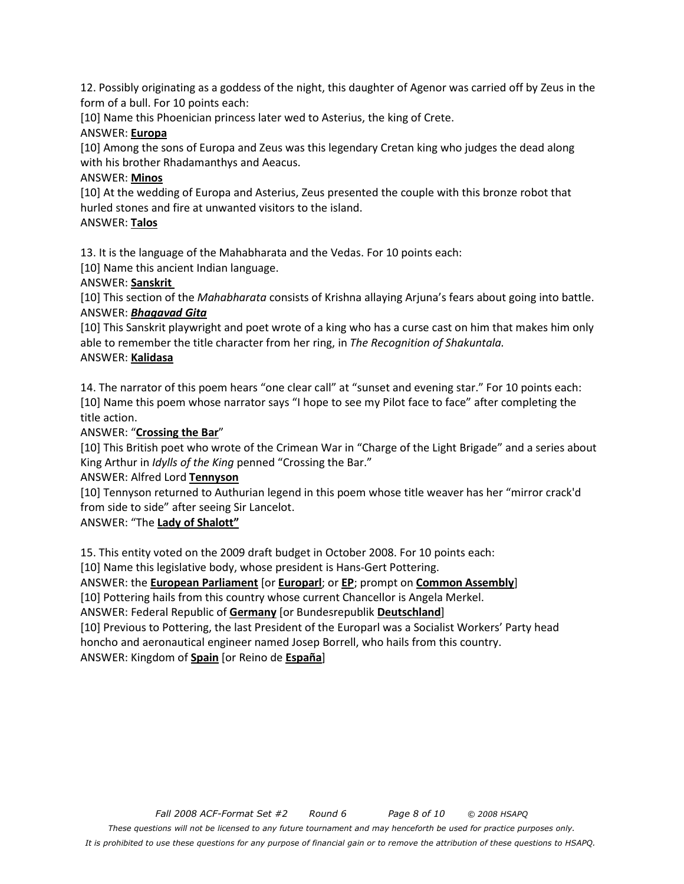12. Possibly originating as a goddess of the night, this daughter of Agenor was carried off by Zeus in the form of a bull. For 10 points each:

[10] Name this Phoenician princess later wed to Asterius, the king of Crete.

#### ANSWER: **Europa**

[10] Among the sons of Europa and Zeus was this legendary Cretan king who judges the dead along with his brother Rhadamanthys and Aeacus.

#### ANSWER: **Minos**

[10] At the wedding of Europa and Asterius, Zeus presented the couple with this bronze robot that hurled stones and fire at unwanted visitors to the island.

#### ANSWER: **Talos**

13. It is the language of the Mahabharata and the Vedas. For 10 points each:

[10] Name this ancient Indian language.

# ANSWER: **Sanskrit**

[10] This section of the *Mahabharata* consists of Krishna allaying Arjuna's fears about going into battle. ANSWER: *Bhagavad Gita*

[10] This Sanskrit playwright and poet wrote of a king who has a curse cast on him that makes him only able to remember the title character from her ring, in *The Recognition of Shakuntala.*  ANSWER: **Kalidasa**

14. The narrator of this poem hears "one clear call" at "sunset and evening star." For 10 points each: [10] Name this poem whose narrator says "I hope to see my Pilot face to face" after completing the title action.

# ANSWER: "**Crossing the Bar**"

[10] This British poet who wrote of the Crimean War in "Charge of the Light Brigade" and a series about King Arthur in *Idylls of the King* penned "Crossing the Bar."

#### ANSWER: Alfred Lord **Tennyson**

[10] Tennyson returned to Authurian legend in this poem whose title weaver has her "mirror crack'd from side to side" after seeing Sir Lancelot.

# ANSWER: "The **Lady of Shalott"**

15. This entity voted on the 2009 draft budget in October 2008. For 10 points each:

[10] Name this legislative body, whose president is Hans-Gert Pottering.

ANSWER: the **European Parliament** [or **Europarl**; or **EP**; prompt on **Common Assembly**]

[10] Pottering hails from this country whose current Chancellor is Angela Merkel.

ANSWER: Federal Republic of **Germany** [or Bundesrepublik **Deutschland**]

[10] Previous to Pottering, the last President of the Europarl was a Socialist Workers' Party head honcho and aeronautical engineer named Josep Borrell, who hails from this country.

# ANSWER: Kingdom of **Spain** [or Reino de **España**]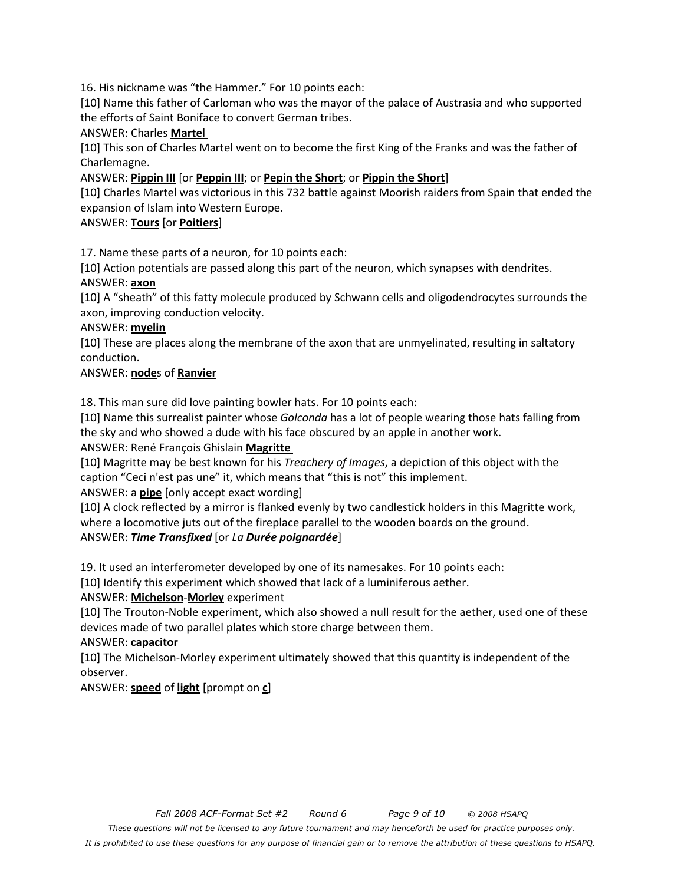16. His nickname was "the Hammer." For 10 points each:

[10] Name this father of Carloman who was the mayor of the palace of Austrasia and who supported the efforts of Saint Boniface to convert German tribes.

#### ANSWER: Charles **Martel**

[10] This son of Charles Martel went on to become the first King of the Franks and was the father of Charlemagne.

ANSWER: **Pippin III** [or **Peppin III**; or **Pepin the Short**; or **Pippin the Short**]

[10] Charles Martel was victorious in this 732 battle against Moorish raiders from Spain that ended the expansion of Islam into Western Europe.

#### ANSWER: **Tours** [or **Poitiers**]

17. Name these parts of a neuron, for 10 points each:

[10] Action potentials are passed along this part of the neuron, which synapses with dendrites. ANSWER: **axon**

[10] A "sheath" of this fatty molecule produced by Schwann cells and oligodendrocytes surrounds the axon, improving conduction velocity.

#### ANSWER: **myelin**

[10] These are places along the membrane of the axon that are unmyelinated, resulting in saltatory conduction.

#### ANSWER: **node**s of **Ranvier**

18. This man sure did love painting bowler hats. For 10 points each:

[10] Name this surrealist painter whose *Golconda* has a lot of people wearing those hats falling from the sky and who showed a dude with his face obscured by an apple in another work.

#### ANSWER: René François Ghislain **Magritte**

[10] Magritte may be best known for his *Treachery of Images*, a depiction of this object with the caption "Ceci n'est pas une" it, which means that "this is not" this implement. ANSWER: a **pipe** [only accept exact wording]

[10] A clock reflected by a mirror is flanked evenly by two candlestick holders in this Magritte work,

where a locomotive juts out of the fireplace parallel to the wooden boards on the ground.

#### ANSWER: *Time Transfixed* [or *La Durée poignardée*]

19. It used an interferometer developed by one of its namesakes. For 10 points each:

[10] Identify this experiment which showed that lack of a luminiferous aether.

#### ANSWER: **Michelson**-**Morley** experiment

[10] The Trouton-Noble experiment, which also showed a null result for the aether, used one of these devices made of two parallel plates which store charge between them.

#### ANSWER: **capacitor**

[10] The Michelson-Morley experiment ultimately showed that this quantity is independent of the observer.

#### ANSWER: **speed** of **light** [prompt on **c**]